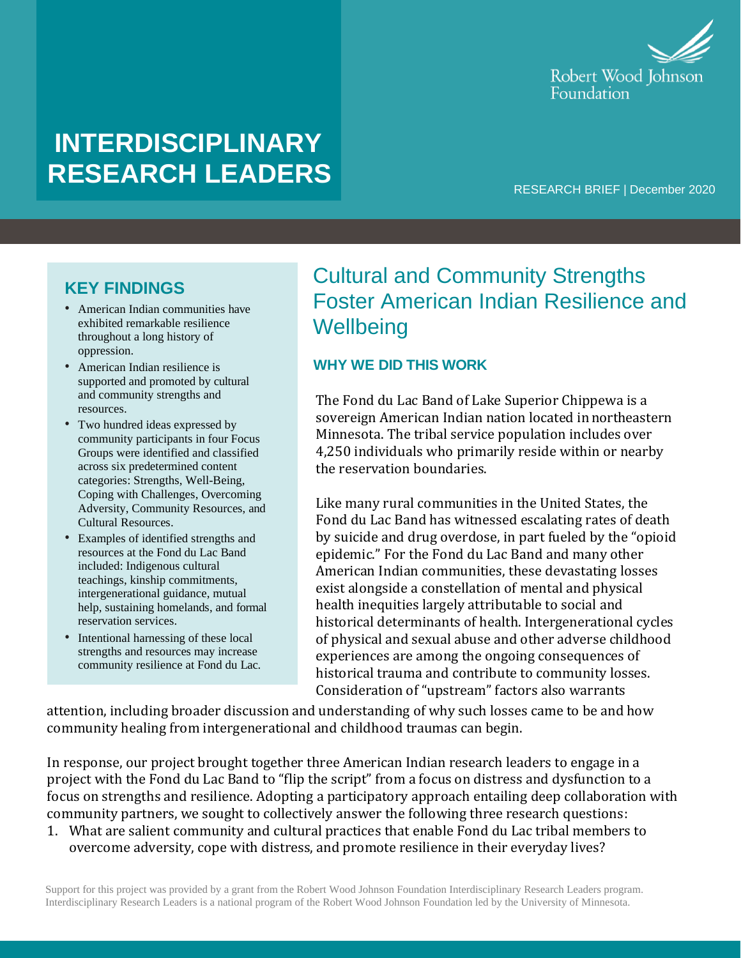

# **INTERDISCIPLINARY RESEARCH LEADERS**

RESEARCH BRIEF | December 2020

### **KEY FINDINGS**

- American Indian communities have exhibited remarkable resilience throughout a long history of oppression.
- American Indian resilience is supported and promoted by cultural and community strengths and resources.
- Two hundred ideas expressed by community participants in four Focus Groups were identified and classified across six predetermined content categories: Strengths, Well-Being, Coping with Challenges, Overcoming Adversity, Community Resources, and Cultural Resources.
- Examples of identified strengths and resources at the Fond du Lac Band included: Indigenous cultural teachings, kinship commitments, intergenerational guidance, mutual help, sustaining homelands, and formal reservation services.
- Intentional harnessing of these local strengths and resources may increase community resilience at Fond du Lac.

## Cultural and Community Strengths Foster American Indian Resilience and **Wellbeing**

#### **WHY WE DID THIS WORK**

The Fond du Lac Band of Lake Superior Chippewa is a sovereign American Indian nation located in northeastern Minnesota. The tribal service population includes over 4,250 individuals who primarily reside within or nearby the reservation boundaries.

Like many rural communities in the United States, the Fond du Lac Band has witnessed escalating rates of death by suicide and drug overdose, in part fueled by the "opioid epidemic." For the Fond du Lac Band and many other American Indian communities, these devastating losses exist alongside a constellation of mental and physical health inequities largely attributable to social and historical determinants of health. Intergenerational cycles of physical and sexual abuse and other adverse childhood experiences are among the ongoing consequences of historical trauma and contribute to community losses. Consideration of "upstream" factors also warrants

attention, including broader discussion and understanding of why such losses came to be and how community healing from intergenerational and childhood traumas can begin.

In response, our project brought together three American Indian research leaders to engage in a project with the Fond du Lac Band to "flip the script" from a focus on distress and dysfunction to a focus on strengths and resilience. Adopting a participatory approach entailing deep collaboration with community partners, we sought to collectively answer the following three research questions:

1. What are salient community and cultural practices that enable Fond du Lac tribal members to overcome adversity, cope with distress, and promote resilience in their everyday lives?

Support for this project was provided by a grant from the Robert Wood Johnson Foundation Interdisciplinary Research Leaders program. Interdisciplinary Research Leaders is a national program of the Robert Wood Johnson Foundation led by the University of Minnesota.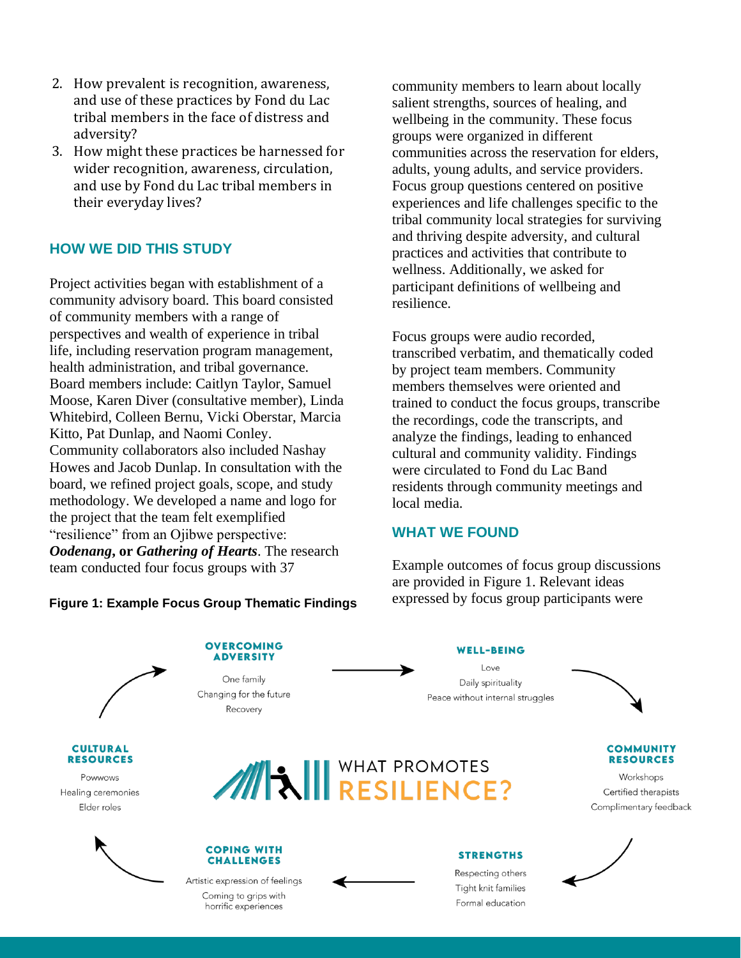- 2. How prevalent is recognition, awareness, and use of these practices by Fond du Lac tribal members in the face of distress and adversity?
- 3. How might these practices be harnessed for wider recognition, awareness, circulation, and use by Fond du Lac tribal members in their everyday lives?

#### **HOW WE DID THIS STUDY**

Project activities began with establishment of a community advisory board. This board consisted of community members with a range of perspectives and wealth of experience in tribal life, including reservation program management, health administration, and tribal governance. Board members include: Caitlyn Taylor, Samuel Moose, Karen Diver (consultative member), Linda Whitebird, Colleen Bernu, Vicki Oberstar, Marcia Kitto, Pat Dunlap, and Naomi Conley. Community collaborators also included Nashay Howes and Jacob Dunlap. In consultation with the board, we refined project goals, scope, and study methodology. We developed a name and logo for the project that the team felt exemplified "resilience" from an Ojibwe perspective: *Oodenang***, or** *Gathering of Hearts*. The research team conducted four focus groups with 37

community members to learn about locally salient strengths, sources of healing, and wellbeing in the community. These focus groups were organized in different communities across the reservation for elders, adults, young adults, and service providers. Focus group questions centered on positive experiences and life challenges specific to the tribal community local strategies for surviving and thriving despite adversity, and cultural practices and activities that contribute to wellness. Additionally, we asked for participant definitions of wellbeing and resilience.

Focus groups were audio recorded, transcribed verbatim, and thematically coded by project team members. Community members themselves were oriented and trained to conduct the focus groups, transcribe the recordings, code the transcripts, and analyze the findings, leading to enhanced cultural and community validity. Findings were circulated to Fond du Lac Band residents through community meetings and local media.

#### **WHAT WE FOUND**

Example outcomes of focus group discussions are provided in Figure 1. Relevant ideas **Figure 1: Example Focus Group Thematic Findings** expressed by focus group participants were